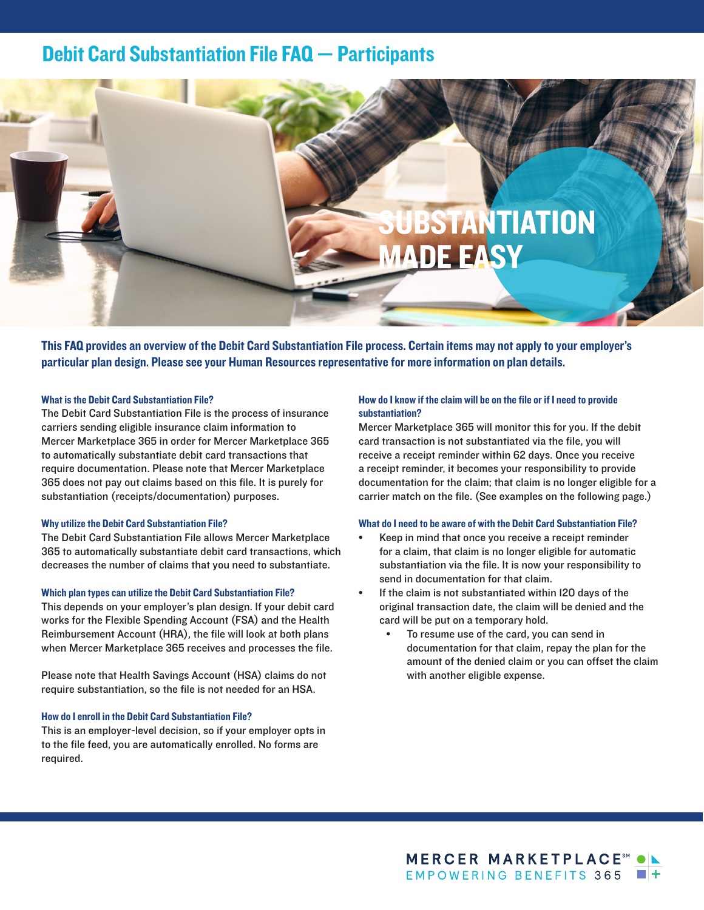# Debit Card Substantiation File FAQ — Participants



This FAQ provides an overview of the Debit Card Substantiation File process. Certain items may not apply to your employer's particular plan design. Please see your Human Resources representative for more information on plan details.

## What is the Debit Card Substantiation File?

The Debit Card Substantiation File is the process of insurance carriers sending eligible insurance claim information to Mercer Marketplace 365 in order for Mercer Marketplace 365 to automatically substantiate debit card transactions that require documentation. Please note that Mercer Marketplace 365 does not pay out claims based on this file. It is purely for substantiation (receipts/documentation) purposes.

#### Why utilize the Debit Card Substantiation File?

The Debit Card Substantiation File allows Mercer Marketplace 365 to automatically substantiate debit card transactions, which decreases the number of claims that you need to substantiate.

#### Which plan types can utilize the Debit Card Substantiation File?

This depends on your employer's plan design. If your debit card works for the Flexible Spending Account (FSA) and the Health Reimbursement Account (HRA), the file will look at both plans when Mercer Marketplace 365 receives and processes the file.

Please note that Health Savings Account (HSA) claims do not require substantiation, so the file is not needed for an HSA.

#### How do I enroll in the Debit Card Substantiation File?

This is an employer-level decision, so if your employer opts in to the file feed, you are automatically enrolled. No forms are required.

### How do I know if the claim will be on the file or if I need to provide substantiation?

Mercer Marketplace 365 will monitor this for you. If the debit card transaction is not substantiated via the file, you will receive a receipt reminder within 62 days. Once you receive a receipt reminder, it becomes your responsibility to provide documentation for the claim; that claim is no longer eligible for a carrier match on the file. (See examples on the following page.)

#### What do I need to be aware of with the Debit Card Substantiation File?

- Keep in mind that once you receive a receipt reminder for a claim, that claim is no longer eligible for automatic substantiation via the file. It is now your responsibility to send in documentation for that claim.
- If the claim is not substantiated within I20 days of the original transaction date, the claim will be denied and the card will be put on a temporary hold.
	- To resume use of the card, you can send in documentation for that claim, repay the plan for the amount of the denied claim or you can offset the claim with another eligible expense.